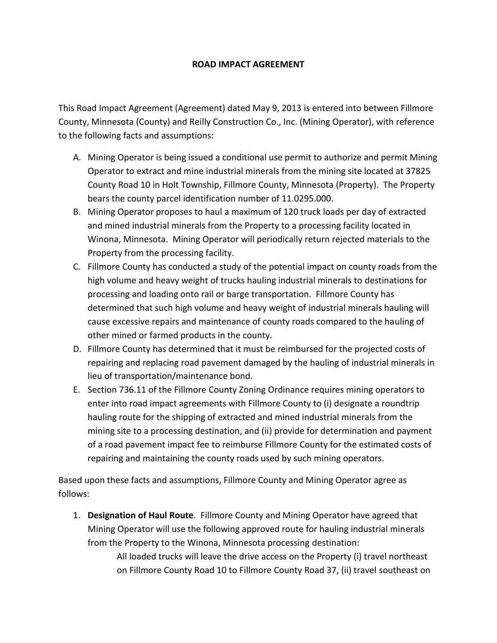## **ROAD IMPACT AGREEMENT**

This Road Impact Agreement (Agreement) dated May 9, 2013 is entered into between Fillmore County, Minnesota (County) and Reilly Construction Co., Inc. (Mining Operator), with reference to the following facts and assumptions:

- A. Mining Operator is being issued a conditional use permit to authorize and permit Mining Operator to extract and mine industrial minerals from the mining site located at 37825 County Road 10 in Holt Township, Fillmore County, Minnesota (Property). The Property bears the county parcel identification number of 11.0295.000.
- B. Mining Operator proposes to haul a maximum of 120 truck loads per day of extracted and mined industrial minerals from the Property to a processing facility located in Winona, Minnesota. Mining Operator will periodically return rejected materials to the Property from the processing facility.
- C. Fillmore County has conducted a study of the potential impact on county roads from the high volume and heavy weight of trucks hauling industrial minerals to destinations for processing and loading onto rail or barge transportation. Fillmore County has determined that such high volume and heavy weight of industrial minerals hauling will cause excessive repairs and maintenance of county roads compared to the hauling of other mined or farmed products in the county.
- D. Fillmore County has determined that it must be reimbursed for the projected costs of repairing and replacing road pavement damaged by the hauling of industrial minerals in lieu of transportation/maintenance bond.
- E. Section 736.11 of the Fillmore County Zoning Ordinance requires mining operators to enter into road impact agreements with Fillmore County to (i) designate a roundtrip hauling route for the shipping of extracted and mined industrial minerals from the mining site to a processing destination, and (ii) provide for determination and payment of a road pavement impact fee to reimburse Fillmore County for the estimated costs of repairing and maintaining the county roads used by such mining operators.

Based upon these facts and assumptions, Fillmore County and Mining Operator agree as follows:

1. **Designation of Haul Route**. Fillmore County and Mining Operator have agreed that Mining Operator will use the following approved route for hauling industrial minerals from the Property to the Winona, Minnesota processing destination:

> All loaded trucks will leave the drive access on the Property (i) travel northeast on Fillmore County Road 10 to Fillmore County Road 37, (ii) travel southeast on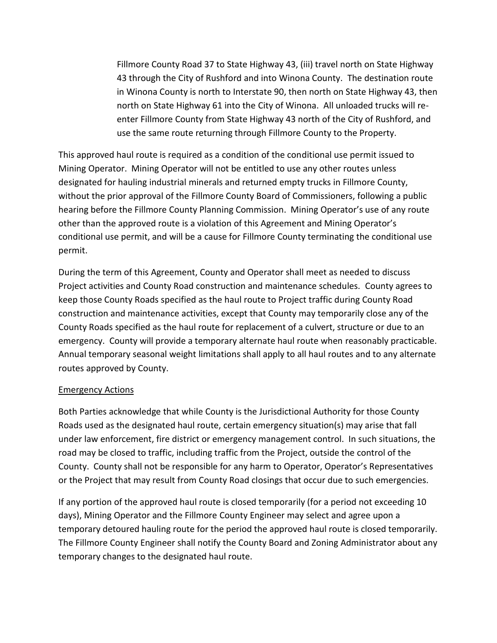Fillmore County Road 37 to State Highway 43, (iii) travel north on State Highway 43 through the City of Rushford and into Winona County. The destination route in Winona County is north to Interstate 90, then north on State Highway 43, then north on State Highway 61 into the City of Winona. All unloaded trucks will reenter Fillmore County from State Highway 43 north of the City of Rushford, and use the same route returning through Fillmore County to the Property.

This approved haul route is required as a condition of the conditional use permit issued to Mining Operator. Mining Operator will not be entitled to use any other routes unless designated for hauling industrial minerals and returned empty trucks in Fillmore County, without the prior approval of the Fillmore County Board of Commissioners, following a public hearing before the Fillmore County Planning Commission. Mining Operator's use of any route other than the approved route is a violation of this Agreement and Mining Operator's conditional use permit, and will be a cause for Fillmore County terminating the conditional use permit.

During the term of this Agreement, County and Operator shall meet as needed to discuss Project activities and County Road construction and maintenance schedules. County agrees to keep those County Roads specified as the haul route to Project traffic during County Road construction and maintenance activities, except that County may temporarily close any of the County Roads specified as the haul route for replacement of a culvert, structure or due to an emergency. County will provide a temporary alternate haul route when reasonably practicable. Annual temporary seasonal weight limitations shall apply to all haul routes and to any alternate routes approved by County.

## Emergency Actions

Both Parties acknowledge that while County is the Jurisdictional Authority for those County Roads used as the designated haul route, certain emergency situation(s) may arise that fall under law enforcement, fire district or emergency management control. In such situations, the road may be closed to traffic, including traffic from the Project, outside the control of the County. County shall not be responsible for any harm to Operator, Operator's Representatives or the Project that may result from County Road closings that occur due to such emergencies.

If any portion of the approved haul route is closed temporarily (for a period not exceeding 10 days), Mining Operator and the Fillmore County Engineer may select and agree upon a temporary detoured hauling route for the period the approved haul route is closed temporarily. The Fillmore County Engineer shall notify the County Board and Zoning Administrator about any temporary changes to the designated haul route.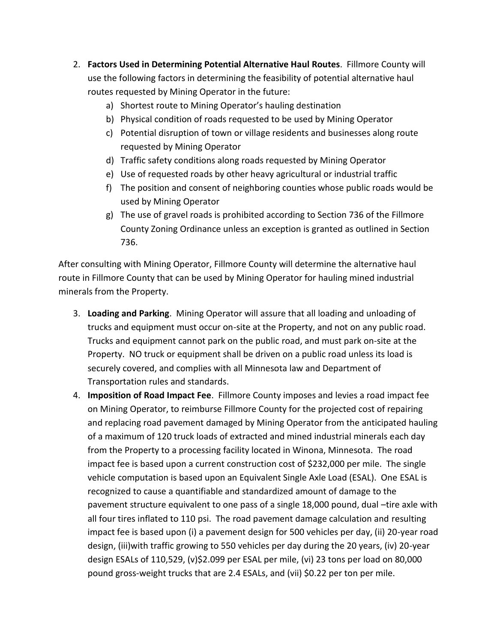- 2. **Factors Used in Determining Potential Alternative Haul Routes**. Fillmore County will use the following factors in determining the feasibility of potential alternative haul routes requested by Mining Operator in the future:
	- a) Shortest route to Mining Operator's hauling destination
	- b) Physical condition of roads requested to be used by Mining Operator
	- c) Potential disruption of town or village residents and businesses along route requested by Mining Operator
	- d) Traffic safety conditions along roads requested by Mining Operator
	- e) Use of requested roads by other heavy agricultural or industrial traffic
	- f) The position and consent of neighboring counties whose public roads would be used by Mining Operator
	- g) The use of gravel roads is prohibited according to Section 736 of the Fillmore County Zoning Ordinance unless an exception is granted as outlined in Section 736.

After consulting with Mining Operator, Fillmore County will determine the alternative haul route in Fillmore County that can be used by Mining Operator for hauling mined industrial minerals from the Property.

- 3. **Loading and Parking**. Mining Operator will assure that all loading and unloading of trucks and equipment must occur on-site at the Property, and not on any public road. Trucks and equipment cannot park on the public road, and must park on-site at the Property. NO truck or equipment shall be driven on a public road unless its load is securely covered, and complies with all Minnesota law and Department of Transportation rules and standards.
- 4. **Imposition of Road Impact Fee**. Fillmore County imposes and levies a road impact fee on Mining Operator, to reimburse Fillmore County for the projected cost of repairing and replacing road pavement damaged by Mining Operator from the anticipated hauling of a maximum of 120 truck loads of extracted and mined industrial minerals each day from the Property to a processing facility located in Winona, Minnesota. The road impact fee is based upon a current construction cost of \$232,000 per mile. The single vehicle computation is based upon an Equivalent Single Axle Load (ESAL). One ESAL is recognized to cause a quantifiable and standardized amount of damage to the pavement structure equivalent to one pass of a single 18,000 pound, dual –tire axle with all four tires inflated to 110 psi. The road pavement damage calculation and resulting impact fee is based upon (i) a pavement design for 500 vehicles per day, (ii) 20-year road design, (iii)with traffic growing to 550 vehicles per day during the 20 years, (iv) 20-year design ESALs of 110,529, (v)\$2.099 per ESAL per mile, (vi) 23 tons per load on 80,000 pound gross-weight trucks that are 2.4 ESALs, and (vii) \$0.22 per ton per mile.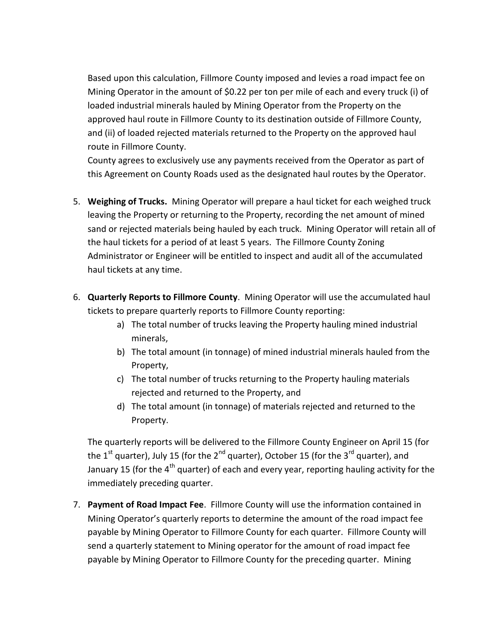Based upon this calculation, Fillmore County imposed and levies a road impact fee on Mining Operator in the amount of \$0.22 per ton per mile of each and every truck (i) of loaded industrial minerals hauled by Mining Operator from the Property on the approved haul route in Fillmore County to its destination outside of Fillmore County, and (ii) of loaded rejected materials returned to the Property on the approved haul route in Fillmore County.

County agrees to exclusively use any payments received from the Operator as part of this Agreement on County Roads used as the designated haul routes by the Operator.

- 5. **Weighing of Trucks.** Mining Operator will prepare a haul ticket for each weighed truck leaving the Property or returning to the Property, recording the net amount of mined sand or rejected materials being hauled by each truck. Mining Operator will retain all of the haul tickets for a period of at least 5 years. The Fillmore County Zoning Administrator or Engineer will be entitled to inspect and audit all of the accumulated haul tickets at any time.
- 6. **Quarterly Reports to Fillmore County**. Mining Operator will use the accumulated haul tickets to prepare quarterly reports to Fillmore County reporting:
	- a) The total number of trucks leaving the Property hauling mined industrial minerals,
	- b) The total amount (in tonnage) of mined industrial minerals hauled from the Property,
	- c) The total number of trucks returning to the Property hauling materials rejected and returned to the Property, and
	- d) The total amount (in tonnage) of materials rejected and returned to the Property.

The quarterly reports will be delivered to the Fillmore County Engineer on April 15 (for the 1<sup>st</sup> quarter), July 15 (for the 2<sup>nd</sup> quarter), October 15 (for the 3<sup>rd</sup> quarter), and January 15 (for the 4<sup>th</sup> quarter) of each and every year, reporting hauling activity for the immediately preceding quarter.

7. **Payment of Road Impact Fee**. Fillmore County will use the information contained in Mining Operator's quarterly reports to determine the amount of the road impact fee payable by Mining Operator to Fillmore County for each quarter. Fillmore County will send a quarterly statement to Mining operator for the amount of road impact fee payable by Mining Operator to Fillmore County for the preceding quarter. Mining